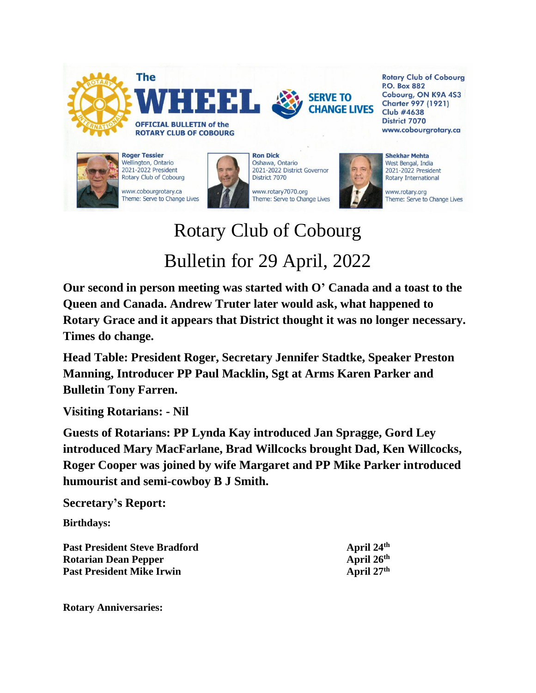

**P.O. Box 882** Cobourg, ON K9A 4S3 **Charter 997 (1921) Club #4638 District 7070** www.cobourgrotary.ca

www.rotary.org Theme: Serve to Change Lives

## Rotary Club of Cobourg Bulletin for 29 April, 2022

Theme: Serve to Change Lives

**Our second in person meeting was started with O' Canada and a toast to the Queen and Canada. Andrew Truter later would ask, what happened to Rotary Grace and it appears that District thought it was no longer necessary. Times do change.**

**Head Table: President Roger, Secretary Jennifer Stadtke, Speaker Preston Manning, Introducer PP Paul Macklin, Sgt at Arms Karen Parker and Bulletin Tony Farren.**

**Visiting Rotarians: - Nil**

Theme: Serve to Change Lives

**Guests of Rotarians: PP Lynda Kay introduced Jan Spragge, Gord Ley introduced Mary MacFarlane, Brad Willcocks brought Dad, Ken Willcocks, Roger Cooper was joined by wife Margaret and PP Mike Parker introduced humourist and semi-cowboy B J Smith.**

## **Secretary's Report:**

**Birthdays:**

**Past President Steve Bradford April 24th Rotarian Dean Pepper April 26<sup>th</sup> Past President Mike Irwin April 27<sup>th</sup>** 

**Rotary Anniversaries:**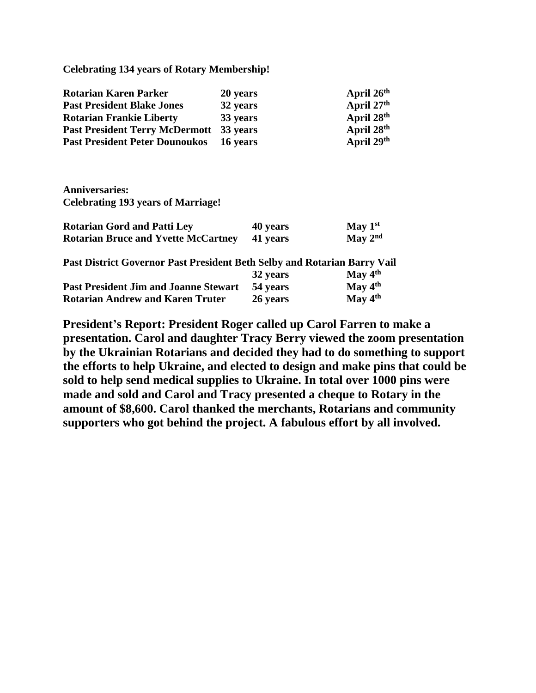**Celebrating 134 years of Rotary Membership!**

| <b>Rotarian Karen Parker</b>                   | 20 years | April 26th             |
|------------------------------------------------|----------|------------------------|
| <b>Past President Blake Jones</b>              | 32 years | April 27th             |
| <b>Rotarian Frankie Liberty</b>                | 33 years | April 28 <sup>th</sup> |
| <b>Past President Terry McDermott 33 years</b> |          | April 28 <sup>th</sup> |
| <b>Past President Peter Dounoukos</b> 16 years |          | April 29th             |

**Anniversaries: Celebrating 193 years of Marriage!**

| <b>Rotarian Gord and Patti Ley</b>         |  | 40 years                         |  | May $1st$ |  |
|--------------------------------------------|--|----------------------------------|--|-----------|--|
| <b>Rotarian Bruce and Yvette McCartney</b> |  | 41 years                         |  | May $2nd$ |  |
| $\sim$<br>$\sim$ $\sim$ $\sim$ $\sim$      |  | $\sqrt{2}$ $\sqrt{2}$ $\sqrt{2}$ |  |           |  |

**Past District Governor Past President Beth Selby and Rotarian Barry Vail**

|                                              | 32 years | May $4th$ |
|----------------------------------------------|----------|-----------|
| <b>Past President Jim and Joanne Stewart</b> | 54 years | May $4th$ |
| <b>Rotarian Andrew and Karen Truter</b>      | 26 years | May $4th$ |

**President's Report: President Roger called up Carol Farren to make a presentation. Carol and daughter Tracy Berry viewed the zoom presentation by the Ukrainian Rotarians and decided they had to do something to support the efforts to help Ukraine, and elected to design and make pins that could be sold to help send medical supplies to Ukraine. In total over 1000 pins were made and sold and Carol and Tracy presented a cheque to Rotary in the amount of \$8,600. Carol thanked the merchants, Rotarians and community supporters who got behind the project. A fabulous effort by all involved.**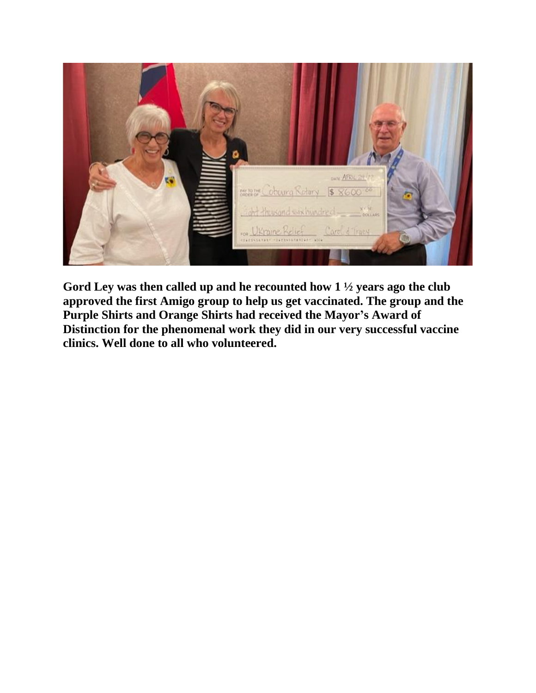

**Gord Ley was then called up and he recounted how 1 ½ years ago the club approved the first Amigo group to help us get vaccinated. The group and the Purple Shirts and Orange Shirts had received the Mayor's Award of Distinction for the phenomenal work they did in our very successful vaccine clinics. Well done to all who volunteered.**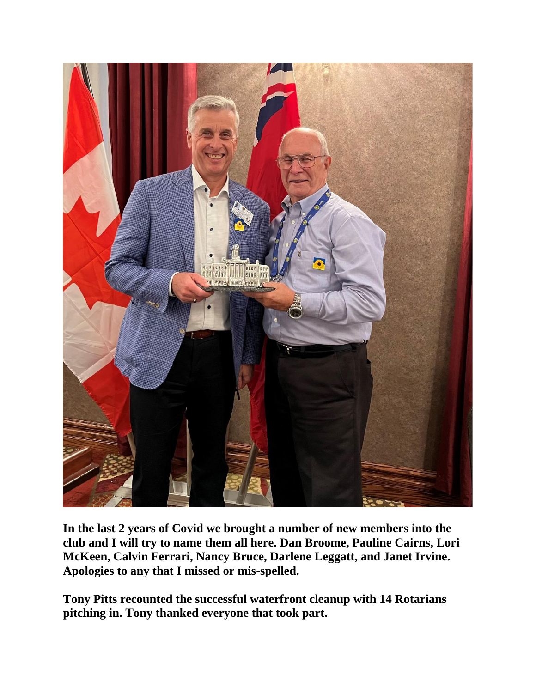

**In the last 2 years of Covid we brought a number of new members into the club and I will try to name them all here. Dan Broome, Pauline Cairns, Lori McKeen, Calvin Ferrari, Nancy Bruce, Darlene Leggatt, and Janet Irvine. Apologies to any that I missed or mis-spelled.**

**Tony Pitts recounted the successful waterfront cleanup with 14 Rotarians pitching in. Tony thanked everyone that took part.**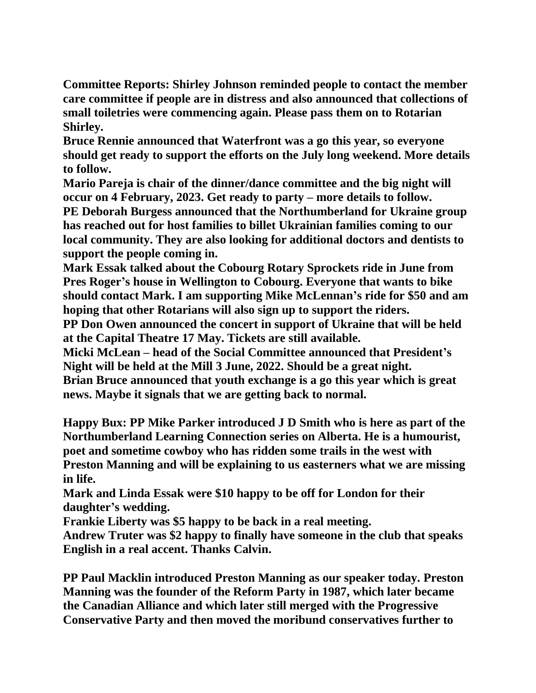**Committee Reports: Shirley Johnson reminded people to contact the member care committee if people are in distress and also announced that collections of small toiletries were commencing again. Please pass them on to Rotarian Shirley.**

**Bruce Rennie announced that Waterfront was a go this year, so everyone should get ready to support the efforts on the July long weekend. More details to follow.**

**Mario Pareja is chair of the dinner/dance committee and the big night will occur on 4 February, 2023. Get ready to party – more details to follow. PE Deborah Burgess announced that the Northumberland for Ukraine group has reached out for host families to billet Ukrainian families coming to our local community. They are also looking for additional doctors and dentists to support the people coming in.**

**Mark Essak talked about the Cobourg Rotary Sprockets ride in June from Pres Roger's house in Wellington to Cobourg. Everyone that wants to bike should contact Mark. I am supporting Mike McLennan's ride for \$50 and am hoping that other Rotarians will also sign up to support the riders.**

**PP Don Owen announced the concert in support of Ukraine that will be held at the Capital Theatre 17 May. Tickets are still available.**

**Micki McLean – head of the Social Committee announced that President's Night will be held at the Mill 3 June, 2022. Should be a great night. Brian Bruce announced that youth exchange is a go this year which is great news. Maybe it signals that we are getting back to normal.**

**Happy Bux: PP Mike Parker introduced J D Smith who is here as part of the Northumberland Learning Connection series on Alberta. He is a humourist, poet and sometime cowboy who has ridden some trails in the west with Preston Manning and will be explaining to us easterners what we are missing in life.**

**Mark and Linda Essak were \$10 happy to be off for London for their daughter's wedding.**

**Frankie Liberty was \$5 happy to be back in a real meeting.**

**Andrew Truter was \$2 happy to finally have someone in the club that speaks English in a real accent. Thanks Calvin.**

**PP Paul Macklin introduced Preston Manning as our speaker today. Preston Manning was the founder of the Reform Party in 1987, which later became the Canadian Alliance and which later still merged with the Progressive Conservative Party and then moved the moribund conservatives further to**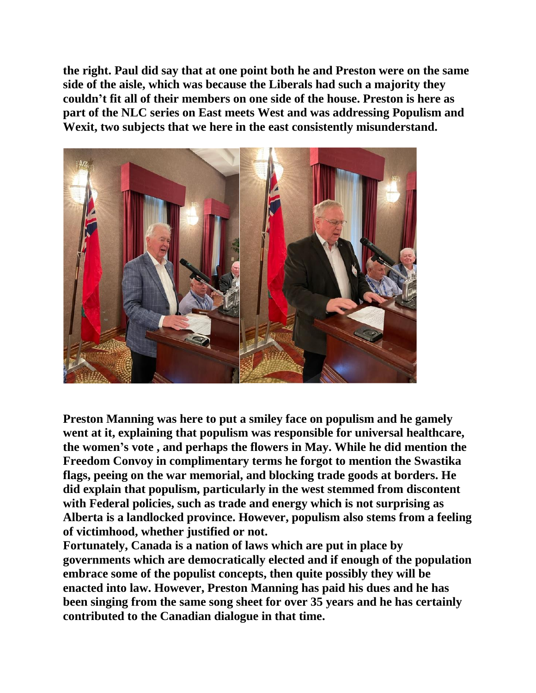**the right. Paul did say that at one point both he and Preston were on the same side of the aisle, which was because the Liberals had such a majority they couldn't fit all of their members on one side of the house. Preston is here as part of the NLC series on East meets West and was addressing Populism and Wexit, two subjects that we here in the east consistently misunderstand.**



**Preston Manning was here to put a smiley face on populism and he gamely went at it, explaining that populism was responsible for universal healthcare, the women's vote , and perhaps the flowers in May. While he did mention the Freedom Convoy in complimentary terms he forgot to mention the Swastika flags, peeing on the war memorial, and blocking trade goods at borders. He did explain that populism, particularly in the west stemmed from discontent with Federal policies, such as trade and energy which is not surprising as Alberta is a landlocked province. However, populism also stems from a feeling of victimhood, whether justified or not.** 

**Fortunately, Canada is a nation of laws which are put in place by governments which are democratically elected and if enough of the population embrace some of the populist concepts, then quite possibly they will be enacted into law. However, Preston Manning has paid his dues and he has been singing from the same song sheet for over 35 years and he has certainly contributed to the Canadian dialogue in that time.**